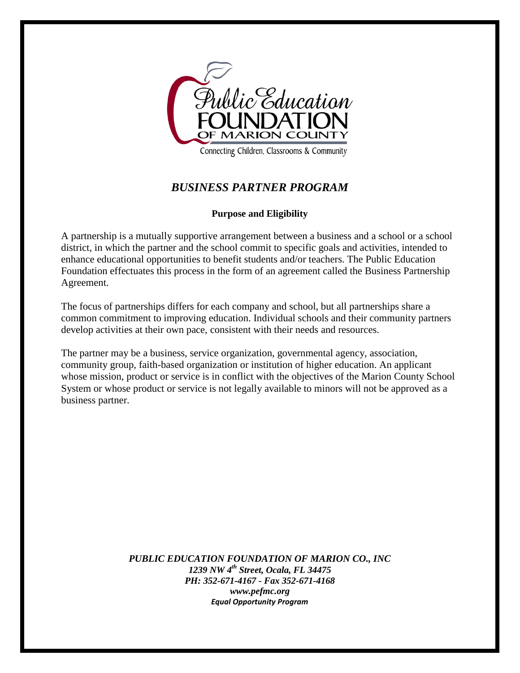

Connecting Children, Classrooms & Community

# *BUSINESS PARTNER PROGRAM*

#### **Purpose and Eligibility**

A partnership is a mutually supportive arrangement between a business and a school or a school district, in which the partner and the school commit to specific goals and activities, intended to enhance educational opportunities to benefit students and/or teachers. The Public Education Foundation effectuates this process in the form of an agreement called the Business Partnership Agreement.

The focus of partnerships differs for each company and school, but all partnerships share a common commitment to improving education. Individual schools and their community partners develop activities at their own pace, consistent with their needs and resources.

The partner may be a business, service organization, governmental agency, association, community group, faith-based organization or institution of higher education. An applicant whose mission, product or service is in conflict with the objectives of the Marion County School System or whose product or service is not legally available to minors will not be approved as a business partner.

> *PUBLIC EDUCATION FOUNDATION OF MARION CO., INC 1239 NW 4th Street, Ocala, FL 34475 PH: 352-671-4167 - Fax 352-671-4168 www.pefmc.org Equal Opportunity Program*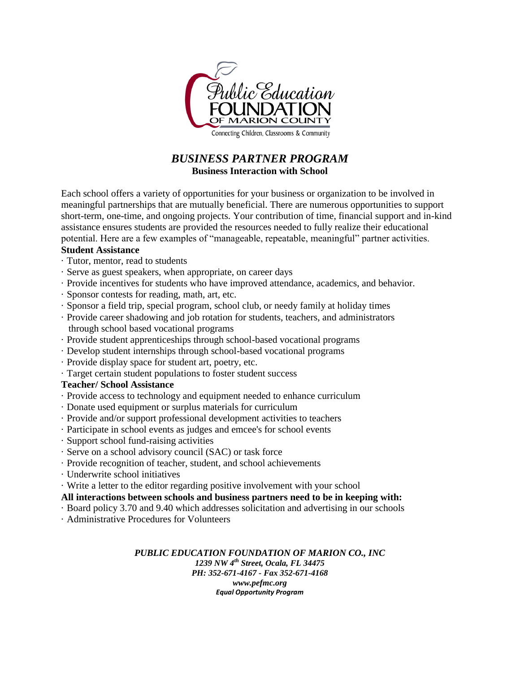

Connecting Children, Classrooms & Community

## *BUSINESS PARTNER PROGRAM* **Business Interaction with School**

Each school offers a variety of opportunities for your business or organization to be involved in meaningful partnerships that are mutually beneficial. There are numerous opportunities to support short-term, one-time, and ongoing projects. Your contribution of time, financial support and in-kind assistance ensures students are provided the resources needed to fully realize their educational potential. Here are a few examples of "manageable, repeatable, meaningful" partner activities.

## **Student Assistance**

- · Tutor, mentor, read to students
- · Serve as guest speakers, when appropriate, on career days
- · Provide incentives for students who have improved attendance, academics, and behavior.
- · Sponsor contests for reading, math, art, etc.
- · Sponsor a field trip, special program, school club, or needy family at holiday times
- · Provide career shadowing and job rotation for students, teachers, and administrators through school based vocational programs
- · Provide student apprenticeships through school-based vocational programs
- · Develop student internships through school-based vocational programs
- · Provide display space for student art, poetry, etc.
- · Target certain student populations to foster student success

## **Teacher/ School Assistance**

- · Provide access to technology and equipment needed to enhance curriculum
- · Donate used equipment or surplus materials for curriculum
- · Provide and/or support professional development activities to teachers
- · Participate in school events as judges and emcee's for school events
- · Support school fund-raising activities
- · Serve on a school advisory council (SAC) or task force
- · Provide recognition of teacher, student, and school achievements
- · Underwrite school initiatives
- · Write a letter to the editor regarding positive involvement with your school

## **All interactions between schools and business partners need to be in keeping with:**

- · Board policy 3.70 and 9.40 which addresses solicitation and advertising in our schools
- · Administrative Procedures for Volunteers

*PUBLIC EDUCATION FOUNDATION OF MARION CO., INC 1239 NW 4th Street, Ocala, FL 34475 PH: 352-671-4167 - Fax 352-671-4168 www.pefmc.org Equal Opportunity Program*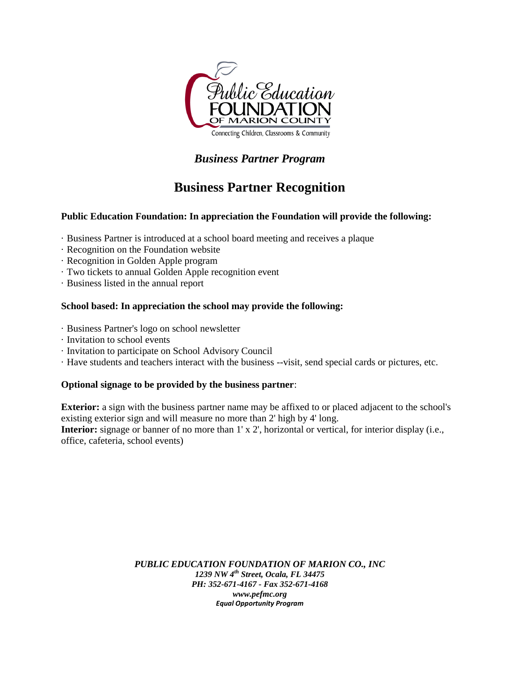

# *Business Partner Program*

# **Business Partner Recognition**

### **Public Education Foundation: In appreciation the Foundation will provide the following:**

- · Business Partner is introduced at a school board meeting and receives a plaque
- · Recognition on the Foundation website
- · Recognition in Golden Apple program
- · Two tickets to annual Golden Apple recognition event
- · Business listed in the annual report

#### **School based: In appreciation the school may provide the following:**

- · Business Partner's logo on school newsletter
- · Invitation to school events
- · Invitation to participate on School Advisory Council
- · Have students and teachers interact with the business --visit, send special cards or pictures, etc.

#### **Optional signage to be provided by the business partner**:

**Exterior:** a sign with the business partner name may be affixed to or placed adjacent to the school's existing exterior sign and will measure no more than 2' high by 4' long. **Interior:** signage or banner of no more than 1' x 2', horizontal or vertical, for interior display (i.e., office, cafeteria, school events)

> *PUBLIC EDUCATION FOUNDATION OF MARION CO., INC 1239 NW 4th Street, Ocala, FL 34475 PH: 352-671-4167 - Fax 352-671-4168 www.pefmc.org Equal Opportunity Program*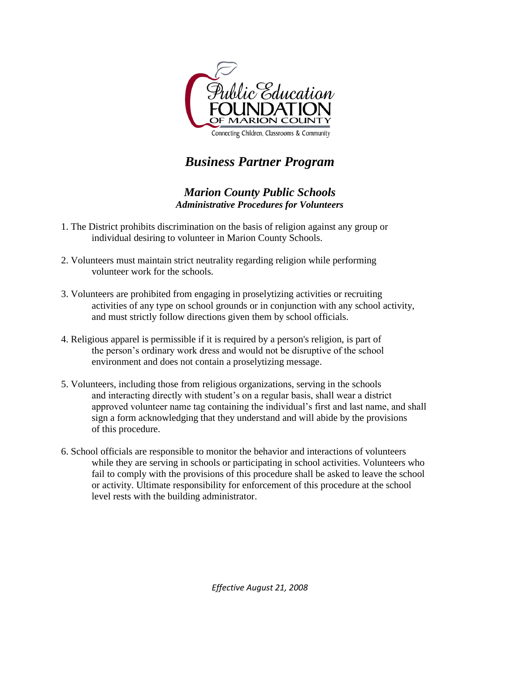

# *Business Partner Program*

## *Marion County Public Schools Administrative Procedures for Volunteers*

- 1. The District prohibits discrimination on the basis of religion against any group or individual desiring to volunteer in Marion County Schools.
- 2. Volunteers must maintain strict neutrality regarding religion while performing volunteer work for the schools.
- 3. Volunteers are prohibited from engaging in proselytizing activities or recruiting activities of any type on school grounds or in conjunction with any school activity, and must strictly follow directions given them by school officials.
- 4. Religious apparel is permissible if it is required by a person's religion, is part of the person's ordinary work dress and would not be disruptive of the school environment and does not contain a proselytizing message.
- 5. Volunteers, including those from religious organizations, serving in the schools and interacting directly with student's on a regular basis, shall wear a district approved volunteer name tag containing the individual's first and last name, and shall sign a form acknowledging that they understand and will abide by the provisions of this procedure.
- 6. School officials are responsible to monitor the behavior and interactions of volunteers while they are serving in schools or participating in school activities. Volunteers who fail to comply with the provisions of this procedure shall be asked to leave the school or activity. Ultimate responsibility for enforcement of this procedure at the school level rests with the building administrator.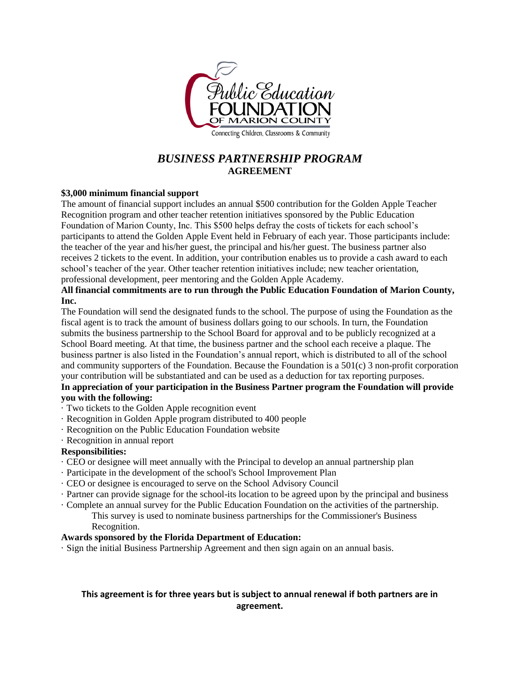

## *BUSINESS PARTNERSHIP PROGRAM* **AGREEMENT**

#### **\$3,000 minimum financial support**

The amount of financial support includes an annual \$500 contribution for the Golden Apple Teacher Recognition program and other teacher retention initiatives sponsored by the Public Education Foundation of Marion County, Inc. This \$500 helps defray the costs of tickets for each school's participants to attend the Golden Apple Event held in February of each year. Those participants include: the teacher of the year and his/her guest, the principal and his/her guest. The business partner also receives 2 tickets to the event. In addition, your contribution enables us to provide a cash award to each school's teacher of the year. Other teacher retention initiatives include; new teacher orientation, professional development, peer mentoring and the Golden Apple Academy.

#### **All financial commitments are to run through the Public Education Foundation of Marion County, Inc.**

The Foundation will send the designated funds to the school. The purpose of using the Foundation as the fiscal agent is to track the amount of business dollars going to our schools. In turn, the Foundation submits the business partnership to the School Board for approval and to be publicly recognized at a School Board meeting. At that time, the business partner and the school each receive a plaque. The business partner is also listed in the Foundation's annual report, which is distributed to all of the school and community supporters of the Foundation. Because the Foundation is a 501(c) 3 non-profit corporation your contribution will be substantiated and can be used as a deduction for tax reporting purposes.

#### **In appreciation of your participation in the Business Partner program the Foundation will provide you with the following:**

- · Two tickets to the Golden Apple recognition event
- · Recognition in Golden Apple program distributed to 400 people
- · Recognition on the Public Education Foundation website
- · Recognition in annual report

#### **Responsibilities:**

- · CEO or designee will meet annually with the Principal to develop an annual partnership plan
- · Participate in the development of the school's School Improvement Plan
- · CEO or designee is encouraged to serve on the School Advisory Council
- · Partner can provide signage for the school-its location to be agreed upon by the principal and business
- · Complete an annual survey for the Public Education Foundation on the activities of the partnership.
	- This survey is used to nominate business partnerships for the Commissioner's Business Recognition.

#### **Awards sponsored by the Florida Department of Education:**

· Sign the initial Business Partnership Agreement and then sign again on an annual basis.

### **This agreement is for three years but is subject to annual renewal if both partners are in agreement.**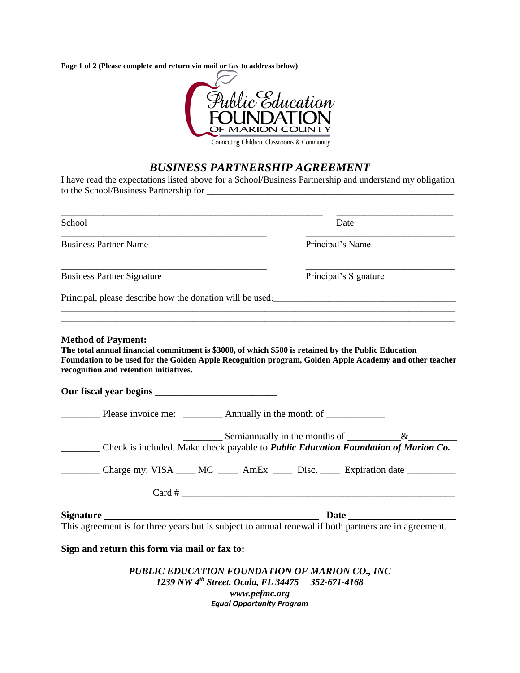**Page 1 of 2 (Please complete and return via mail or fax to address below)**



Connecting Children, Classrooms & Community

## *BUSINESS PARTNERSHIP AGREEMENT*

I have read the expectations listed above for a School/Business Partnership and understand my obligation to the School/Business Partnership for \_\_\_\_\_\_\_\_\_\_\_\_\_\_\_\_\_\_\_\_\_\_\_\_\_\_\_\_\_\_\_\_\_\_\_\_\_\_\_\_\_\_\_\_\_\_\_\_\_\_\_\_\_

\_\_\_\_\_\_\_\_\_\_\_\_\_\_\_\_\_\_\_\_\_\_\_\_\_\_\_\_\_\_\_\_\_\_\_\_\_\_\_\_\_\_\_\_\_\_\_\_\_\_\_\_\_\_\_\_ \_\_\_\_\_\_\_\_\_\_\_\_\_\_\_\_\_\_\_\_\_\_\_\_\_ School Date \_\_\_\_\_\_\_\_\_\_\_\_\_\_\_\_\_\_\_\_\_\_\_\_\_\_\_\_\_\_\_\_\_\_\_\_\_\_\_\_\_\_\_\_ \_\_\_\_\_\_\_\_\_\_\_\_\_\_\_\_\_\_\_\_\_\_\_\_\_\_\_\_\_\_\_\_ Business Partner Name Principal's Name \_\_\_\_\_\_\_\_\_\_\_\_\_\_\_\_\_\_\_\_\_\_\_\_\_\_\_\_\_\_\_\_\_\_\_\_\_\_\_\_\_\_\_\_ \_\_\_\_\_\_\_\_\_\_\_\_\_\_\_\_\_\_\_\_\_\_\_\_\_\_\_\_\_\_\_\_ Business Partner Signature Principal's Signature Principal, please describe how the donation will be used: \_\_\_\_\_\_\_\_\_\_\_\_\_\_\_\_\_\_\_\_\_\_\_\_\_\_\_\_\_\_\_\_\_\_\_\_\_\_\_\_\_\_\_\_\_\_\_\_\_\_\_\_\_\_\_\_\_\_\_\_\_\_\_\_\_\_\_\_\_\_\_\_\_\_\_\_\_\_\_\_\_\_\_\_\_\_\_\_\_\_\_\_\_  $\_$  ,  $\_$  ,  $\_$  ,  $\_$  ,  $\_$  ,  $\_$  ,  $\_$  ,  $\_$  ,  $\_$  ,  $\_$  ,  $\_$  ,  $\_$  ,  $\_$  ,  $\_$  ,  $\_$  ,  $\_$  ,  $\_$  ,  $\_$  ,  $\_$  ,  $\_$  ,  $\_$  ,  $\_$  ,  $\_$  ,  $\_$  ,  $\_$  ,  $\_$  ,  $\_$  ,  $\_$  ,  $\_$  ,  $\_$  ,  $\_$  ,  $\_$  ,  $\_$  ,  $\_$  ,  $\_$  ,  $\_$  ,  $\_$  , **Method of Payment: The total annual financial commitment is \$3000, of which \$500 is retained by the Public Education Foundation to be used for the Golden Apple Recognition program, Golden Apple Academy and other teacher recognition and retention initiatives. Our fiscal year begins** \_\_\_\_\_\_\_\_\_\_\_\_\_\_\_\_\_\_\_\_\_\_\_\_\_ Please invoice me: \_\_\_\_\_\_\_\_\_ Annually in the month of Semiannually in the months of  $\&$ \_\_\_\_\_\_\_\_ Check is included. Make check payable to *Public Education Foundation of Marion Co.*  Charge my: VISA \_\_\_\_ MC \_\_\_\_ AmEx \_\_\_\_ Disc. \_\_\_\_ Expiration date \_\_\_\_\_\_\_\_\_\_  $Card \#$ **Signature Date 2.1 All 2.2 and 2.4 and 2.4 and 2.4 and 2.4 and 2.4 and 2.4 and 2.4 and 2.4 and 2.4 and 2.4 and 2.4 and 2.4 and 2.4 and 2.4 and 2.4 and 2.4 and 2.4 and 2.4 and 2.4 and 2.4 and 2.4 and 2.4 and 2.4 and 2.4 an** This agreement is for three years but is subject to annual renewal if both partners are in agreement. **Sign and return this form via mail or fax to:** *PUBLIC EDUCATION FOUNDATION OF MARION CO., INC 1239 NW 4th Street, Ocala, FL 34475 352-671-4168 www.pefmc.org Equal Opportunity Program*